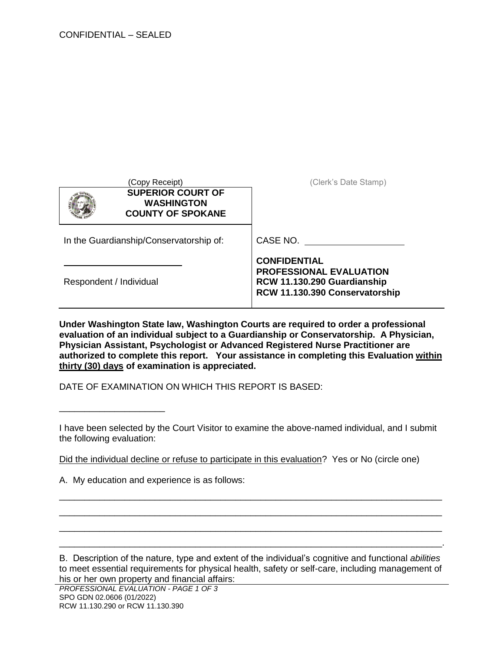| Copy Receipt)                                                             | (Clerk's Date Stamp)                                                                                                   |
|---------------------------------------------------------------------------|------------------------------------------------------------------------------------------------------------------------|
| <b>SUPERIOR COURT OF</b><br><b>WASHINGTON</b><br><b>COUNTY OF SPOKANE</b> |                                                                                                                        |
| In the Guardianship/Conservatorship of:                                   | CASE NO.                                                                                                               |
| Respondent / Individual                                                   | <b>CONFIDENTIAL</b><br><b>PROFESSIONAL EVALUATION</b><br>RCW 11.130.290 Guardianship<br>RCW 11.130.390 Conservatorship |

**Under Washington State law, Washington Courts are required to order a professional evaluation of an individual subject to a Guardianship or Conservatorship. A Physician, Physician Assistant, Psychologist or Advanced Registered Nurse Practitioner are authorized to complete this report. Your assistance in completing this Evaluation within thirty (30) days of examination is appreciated.** 

DATE OF EXAMINATION ON WHICH THIS REPORT IS BASED:

I have been selected by the Court Visitor to examine the above-named individual, and I submit the following evaluation:

\_\_\_\_\_\_\_\_\_\_\_\_\_\_\_\_\_\_\_\_\_\_\_\_\_\_\_\_\_\_\_\_\_\_\_\_\_\_\_\_\_\_\_\_\_\_\_\_\_\_\_\_\_\_\_\_\_\_\_\_\_\_\_\_\_\_\_\_\_\_\_\_\_\_\_\_ \_\_\_\_\_\_\_\_\_\_\_\_\_\_\_\_\_\_\_\_\_\_\_\_\_\_\_\_\_\_\_\_\_\_\_\_\_\_\_\_\_\_\_\_\_\_\_\_\_\_\_\_\_\_\_\_\_\_\_\_\_\_\_\_\_\_\_\_\_\_\_\_\_\_\_\_ \_\_\_\_\_\_\_\_\_\_\_\_\_\_\_\_\_\_\_\_\_\_\_\_\_\_\_\_\_\_\_\_\_\_\_\_\_\_\_\_\_\_\_\_\_\_\_\_\_\_\_\_\_\_\_\_\_\_\_\_\_\_\_\_\_\_\_\_\_\_\_\_\_\_\_\_ \_\_\_\_\_\_\_\_\_\_\_\_\_\_\_\_\_\_\_\_\_\_\_\_\_\_\_\_\_\_\_\_\_\_\_\_\_\_\_\_\_\_\_\_\_\_\_\_\_\_\_\_\_\_\_\_\_\_\_\_\_\_\_\_\_\_\_\_\_\_\_\_\_\_\_\_.

Did the individual decline or refuse to participate in this evaluation? Yes or No (circle one)

A. My education and experience is as follows:

\_\_\_\_\_\_\_\_\_\_\_\_\_\_\_\_\_\_\_\_\_

B. Description of the nature, type and extent of the individual's cognitive and functional *abilities* to meet essential requirements for physical health, safety or self-care, including management of his or her own property and financial affairs: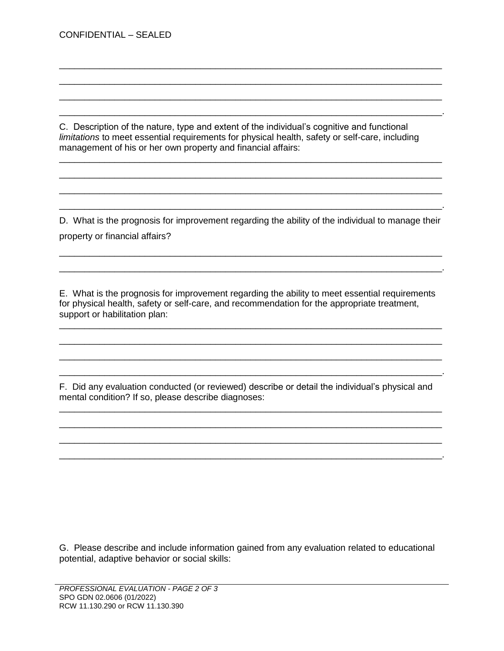CONFIDENTIAL – SEALED

C. Description of the nature, type and extent of the individual's cognitive and functional *limitations* to meet essential requirements for physical health, safety or self-care, including management of his or her own property and financial affairs:

\_\_\_\_\_\_\_\_\_\_\_\_\_\_\_\_\_\_\_\_\_\_\_\_\_\_\_\_\_\_\_\_\_\_\_\_\_\_\_\_\_\_\_\_\_\_\_\_\_\_\_\_\_\_\_\_\_\_\_\_\_\_\_\_\_\_\_\_\_\_\_\_\_\_\_\_ \_\_\_\_\_\_\_\_\_\_\_\_\_\_\_\_\_\_\_\_\_\_\_\_\_\_\_\_\_\_\_\_\_\_\_\_\_\_\_\_\_\_\_\_\_\_\_\_\_\_\_\_\_\_\_\_\_\_\_\_\_\_\_\_\_\_\_\_\_\_\_\_\_\_\_\_ \_\_\_\_\_\_\_\_\_\_\_\_\_\_\_\_\_\_\_\_\_\_\_\_\_\_\_\_\_\_\_\_\_\_\_\_\_\_\_\_\_\_\_\_\_\_\_\_\_\_\_\_\_\_\_\_\_\_\_\_\_\_\_\_\_\_\_\_\_\_\_\_\_\_\_\_ \_\_\_\_\_\_\_\_\_\_\_\_\_\_\_\_\_\_\_\_\_\_\_\_\_\_\_\_\_\_\_\_\_\_\_\_\_\_\_\_\_\_\_\_\_\_\_\_\_\_\_\_\_\_\_\_\_\_\_\_\_\_\_\_\_\_\_\_\_\_\_\_\_\_\_\_.

D. What is the prognosis for improvement regarding the ability of the individual to manage their property or financial affairs?

\_\_\_\_\_\_\_\_\_\_\_\_\_\_\_\_\_\_\_\_\_\_\_\_\_\_\_\_\_\_\_\_\_\_\_\_\_\_\_\_\_\_\_\_\_\_\_\_\_\_\_\_\_\_\_\_\_\_\_\_\_\_\_\_\_\_\_\_\_\_\_\_\_\_\_\_ \_\_\_\_\_\_\_\_\_\_\_\_\_\_\_\_\_\_\_\_\_\_\_\_\_\_\_\_\_\_\_\_\_\_\_\_\_\_\_\_\_\_\_\_\_\_\_\_\_\_\_\_\_\_\_\_\_\_\_\_\_\_\_\_\_\_\_\_\_\_\_\_\_\_\_\_.

\_\_\_\_\_\_\_\_\_\_\_\_\_\_\_\_\_\_\_\_\_\_\_\_\_\_\_\_\_\_\_\_\_\_\_\_\_\_\_\_\_\_\_\_\_\_\_\_\_\_\_\_\_\_\_\_\_\_\_\_\_\_\_\_\_\_\_\_\_\_\_\_\_\_\_\_ \_\_\_\_\_\_\_\_\_\_\_\_\_\_\_\_\_\_\_\_\_\_\_\_\_\_\_\_\_\_\_\_\_\_\_\_\_\_\_\_\_\_\_\_\_\_\_\_\_\_\_\_\_\_\_\_\_\_\_\_\_\_\_\_\_\_\_\_\_\_\_\_\_\_\_\_ \_\_\_\_\_\_\_\_\_\_\_\_\_\_\_\_\_\_\_\_\_\_\_\_\_\_\_\_\_\_\_\_\_\_\_\_\_\_\_\_\_\_\_\_\_\_\_\_\_\_\_\_\_\_\_\_\_\_\_\_\_\_\_\_\_\_\_\_\_\_\_\_\_\_\_\_ \_\_\_\_\_\_\_\_\_\_\_\_\_\_\_\_\_\_\_\_\_\_\_\_\_\_\_\_\_\_\_\_\_\_\_\_\_\_\_\_\_\_\_\_\_\_\_\_\_\_\_\_\_\_\_\_\_\_\_\_\_\_\_\_\_\_\_\_\_\_\_\_\_\_\_\_.

E. What is the prognosis for improvement regarding the ability to meet essential requirements for physical health, safety or self-care, and recommendation for the appropriate treatment, support or habilitation plan:

\_\_\_\_\_\_\_\_\_\_\_\_\_\_\_\_\_\_\_\_\_\_\_\_\_\_\_\_\_\_\_\_\_\_\_\_\_\_\_\_\_\_\_\_\_\_\_\_\_\_\_\_\_\_\_\_\_\_\_\_\_\_\_\_\_\_\_\_\_\_\_\_\_\_\_\_ \_\_\_\_\_\_\_\_\_\_\_\_\_\_\_\_\_\_\_\_\_\_\_\_\_\_\_\_\_\_\_\_\_\_\_\_\_\_\_\_\_\_\_\_\_\_\_\_\_\_\_\_\_\_\_\_\_\_\_\_\_\_\_\_\_\_\_\_\_\_\_\_\_\_\_\_ \_\_\_\_\_\_\_\_\_\_\_\_\_\_\_\_\_\_\_\_\_\_\_\_\_\_\_\_\_\_\_\_\_\_\_\_\_\_\_\_\_\_\_\_\_\_\_\_\_\_\_\_\_\_\_\_\_\_\_\_\_\_\_\_\_\_\_\_\_\_\_\_\_\_\_\_ \_\_\_\_\_\_\_\_\_\_\_\_\_\_\_\_\_\_\_\_\_\_\_\_\_\_\_\_\_\_\_\_\_\_\_\_\_\_\_\_\_\_\_\_\_\_\_\_\_\_\_\_\_\_\_\_\_\_\_\_\_\_\_\_\_\_\_\_\_\_\_\_\_\_\_\_.

F. Did any evaluation conducted (or reviewed) describe or detail the individual's physical and mental condition? If so, please describe diagnoses:

\_\_\_\_\_\_\_\_\_\_\_\_\_\_\_\_\_\_\_\_\_\_\_\_\_\_\_\_\_\_\_\_\_\_\_\_\_\_\_\_\_\_\_\_\_\_\_\_\_\_\_\_\_\_\_\_\_\_\_\_\_\_\_\_\_\_\_\_\_\_\_\_\_\_\_\_ \_\_\_\_\_\_\_\_\_\_\_\_\_\_\_\_\_\_\_\_\_\_\_\_\_\_\_\_\_\_\_\_\_\_\_\_\_\_\_\_\_\_\_\_\_\_\_\_\_\_\_\_\_\_\_\_\_\_\_\_\_\_\_\_\_\_\_\_\_\_\_\_\_\_\_\_ \_\_\_\_\_\_\_\_\_\_\_\_\_\_\_\_\_\_\_\_\_\_\_\_\_\_\_\_\_\_\_\_\_\_\_\_\_\_\_\_\_\_\_\_\_\_\_\_\_\_\_\_\_\_\_\_\_\_\_\_\_\_\_\_\_\_\_\_\_\_\_\_\_\_\_\_ \_\_\_\_\_\_\_\_\_\_\_\_\_\_\_\_\_\_\_\_\_\_\_\_\_\_\_\_\_\_\_\_\_\_\_\_\_\_\_\_\_\_\_\_\_\_\_\_\_\_\_\_\_\_\_\_\_\_\_\_\_\_\_\_\_\_\_\_\_\_\_\_\_\_\_\_.

G. Please describe and include information gained from any evaluation related to educational potential, adaptive behavior or social skills: